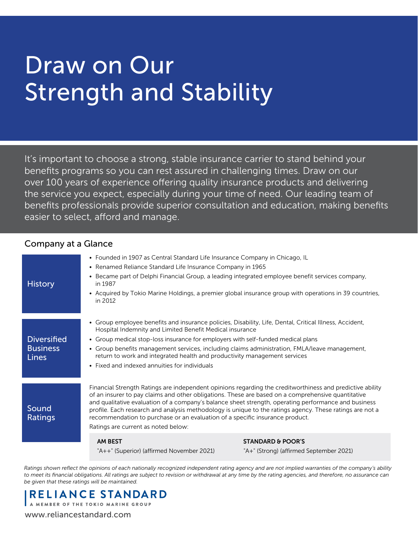# Draw on Our **Strength and Stability**

It's important to choose a strong, stable insurance carrier to stand behind your benefits programs so you can rest assured in challenging times. Draw on our over 100 years of experience offering quality insurance products and delivering the service you expect, especially during your time of need. Our leading team of benefits professionals provide superior consultation and education, making benefits easier to select, afford and manage.

#### Company at a Glance

| <b>History</b>                                        | • Founded in 1907 as Central Standard Life Insurance Company in Chicago, IL<br>• Renamed Reliance Standard Life Insurance Company in 1965<br>in 1987<br>in 2012                                                                                                                                                                                                                                                                                                                                                                                            | • Became part of Delphi Financial Group, a leading integrated employee benefit services company,<br>• Acquired by Tokio Marine Holdings, a premier global insurance group with operations in 39 countries, |
|-------------------------------------------------------|------------------------------------------------------------------------------------------------------------------------------------------------------------------------------------------------------------------------------------------------------------------------------------------------------------------------------------------------------------------------------------------------------------------------------------------------------------------------------------------------------------------------------------------------------------|------------------------------------------------------------------------------------------------------------------------------------------------------------------------------------------------------------|
| <b>Diversified</b><br><b>Business</b><br><b>Lines</b> | • Group employee benefits and insurance policies, Disability, Life, Dental, Critical Illness, Accident,<br>Hospital Indemnity and Limited Benefit Medical insurance<br>• Group medical stop-loss insurance for employers with self-funded medical plans<br>• Group benefits management services, including claims administration, FMLA/leave management,<br>return to work and integrated health and productivity management services<br>• Fixed and indexed annuities for individuals                                                                     |                                                                                                                                                                                                            |
| Sound<br>Ratings                                      | Financial Strength Ratings are independent opinions regarding the creditworthiness and predictive ability<br>of an insurer to pay claims and other obligations. These are based on a comprehensive quantitative<br>and qualitative evaluation of a company's balance sheet strength, operating performance and business<br>profile. Each research and analysis methodology is unique to the ratings agency. These ratings are not a<br>recommendation to purchase or an evaluation of a specific insurance product.<br>Ratings are current as noted below: |                                                                                                                                                                                                            |
|                                                       | <b>AM BEST</b><br>"A++" (Superior) (affirmed November 2021)                                                                                                                                                                                                                                                                                                                                                                                                                                                                                                | <b>STANDARD &amp; POOR'S</b><br>"A+" (Strong) (affirmed September 2021)                                                                                                                                    |

*Ratings shown reflect the opinions of each nationally recognized independent rating agency and are not implied warranties of the company's ability to meet its financial obligations. All ratings are subject to revision or withdrawal at any time by the rating agencies, and therefore, no assurance can be given that these ratings will be maintained.*



[www.reliancestandard.com](http://www.reliancestandard.com)